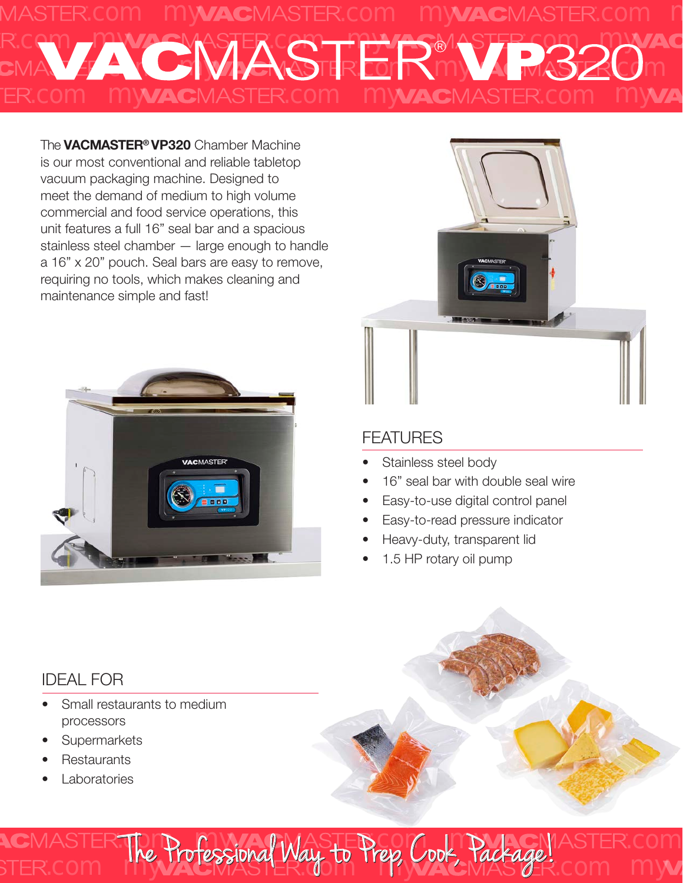

The **VACMASTER<sup>®</sup> VP320** Chamber Machine is our most conventional and reliable tabletop vacuum packaging machine. Designed to meet the demand of medium to high volume commercial and food service operations, this unit features a full 16" seal bar and a spacious stainless steel chamber — large enough to handle a 16" x 20" pouch. Seal bars are easy to remove, requiring no tools, which makes cleaning and maintenance simple and fast!





### FEATURES

- Stainless steel body
- 16" seal bar with double seal wire
- Easy-to-use digital control panel
- Easy-to-read pressure indicator

**MACHASTER.com** 

ep, Cook, Tackage! Com my

- Heavy-duty, transparent lid
- 1.5 HP rotary oil pump

## IDEAL FOR

Small restaurants to medium processors

The Professional Way to Press C

The Professional Way to Prep, Cook, Package!

com **The Trotessional Way to** 

- **Supermarkets**
- **Restaurants**
- **Laboratories**